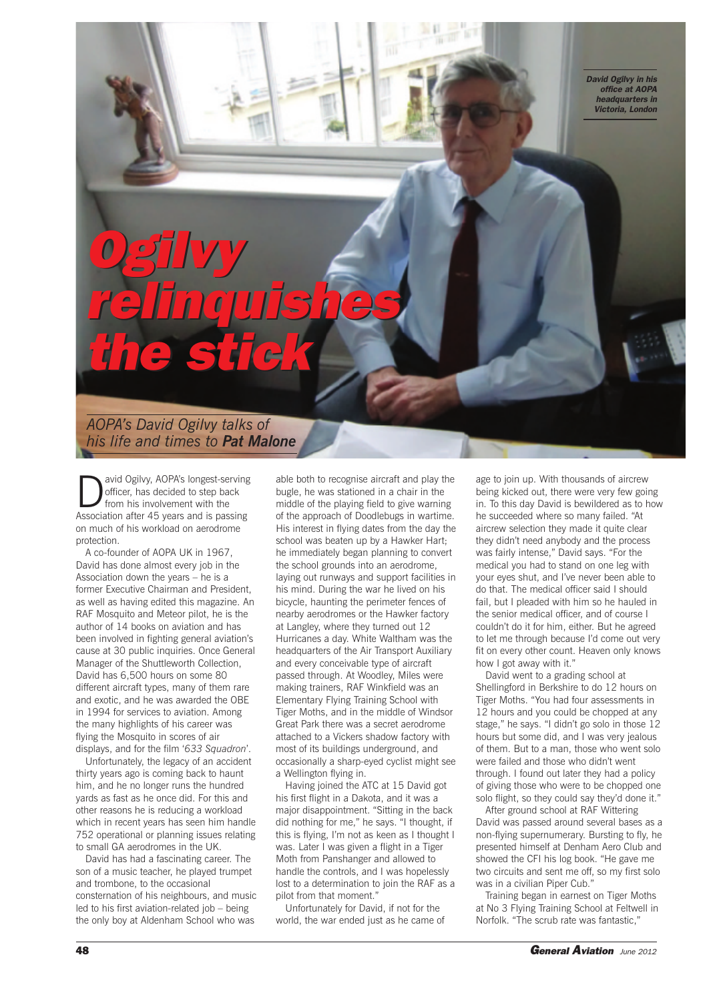*David Ogilvy in his office at AOPA headquarters in Victoria, London*

## *Ogilvy relinquishes the stick Ogilvy relinquishes the stick*

*AOPA's David Ogilvy talks of his life and times to Pat Malone*

avid Ogilvy, AOPA's longest-serving officer, has decided to step back from his involvement with the Association after 45 years and is passing on much of his workload on aerodrome protection.

A co-founder of AOPA UK in 1967, David has done almost every job in the Association down the years – he is a former Executive Chairman and President, as well as having edited this magazine. An RAF Mosquito and Meteor pilot, he is the author of 14 books on aviation and has been involved in fighting general aviation's cause at 30 public inquiries. Once General Manager of the Shuttleworth Collection, David has 6,500 hours on some 80 different aircraft types, many of them rare and exotic, and he was awarded the OBE in 1994 for services to aviation. Among the many highlights of his career was flying the Mosquito in scores of air displays, and for the film '*633 Squadron*'.

Unfortunately, the legacy of an accident thirty years ago is coming back to haunt him, and he no longer runs the hundred yards as fast as he once did. For this and other reasons he is reducing a workload which in recent years has seen him handle 752 operational or planning issues relating to small GA aerodromes in the UK.

David has had a fascinating career. The son of a music teacher, he played trumpet and trombone, to the occasional consternation of his neighbours, and music led to his first aviation-related job – being the only boy at Aldenham School who was

able both to recognise aircraft and play the bugle, he was stationed in a chair in the middle of the playing field to give warning of the approach of Doodlebugs in wartime. His interest in flying dates from the day the school was beaten up by a Hawker Hart; he immediately began planning to convert the school grounds into an aerodrome, laying out runways and support facilities in his mind. During the war he lived on his bicycle, haunting the perimeter fences of nearby aerodromes or the Hawker factory at Langley, where they turned out 12 Hurricanes a day. White Waltham was the headquarters of the Air Transport Auxiliary and every conceivable type of aircraft passed through. At Woodley, Miles were making trainers, RAF Winkfield was an Elementary Flying Training School with Tiger Moths, and in the middle of Windsor Great Park there was a secret aerodrome attached to a Vickers shadow factory with most of its buildings underground, and occasionally a sharp-eyed cyclist might see a Wellington flying in.

Having joined the ATC at 15 David got his first flight in a Dakota, and it was a major disappointment. "Sitting in the back did nothing for me," he says. "I thought, if this is flying, I'm not as keen as I thought I was. Later I was given a flight in a Tiger Moth from Panshanger and allowed to handle the controls, and I was hopelessly lost to a determination to join the RAF as a pilot from that moment."

Unfortunately for David, if not for the world, the war ended just as he came of

age to join up. With thousands of aircrew being kicked out, there were very few going in. To this day David is bewildered as to how he succeeded where so many failed. "At aircrew selection they made it quite clear they didn't need anybody and the process was fairly intense," David says. "For the medical you had to stand on one leg with your eyes shut, and I've never been able to do that. The medical officer said I should fail, but I pleaded with him so he hauled in the senior medical officer, and of course I couldn't do it for him, either. But he agreed to let me through because I'd come out very fit on every other count. Heaven only knows how I got away with it."

David went to a grading school at Shellingford in Berkshire to do 12 hours on Tiger Moths. "You had four assessments in 12 hours and you could be chopped at any stage," he says. "I didn't go solo in those 12 hours but some did, and I was very jealous of them. But to a man, those who went solo were failed and those who didn't went through. I found out later they had a policy of giving those who were to be chopped one solo flight, so they could say they'd done it."

After ground school at RAF Wittering David was passed around several bases as a non-flying supernumerary. Bursting to fly, he presented himself at Denham Aero Club and showed the CFI his log book. "He gave me two circuits and sent me off, so my first solo was in a civilian Piper Cub."

Training began in earnest on Tiger Moths at No 3 Flying Training School at Feltwell in Norfolk. "The scrub rate was fantastic,"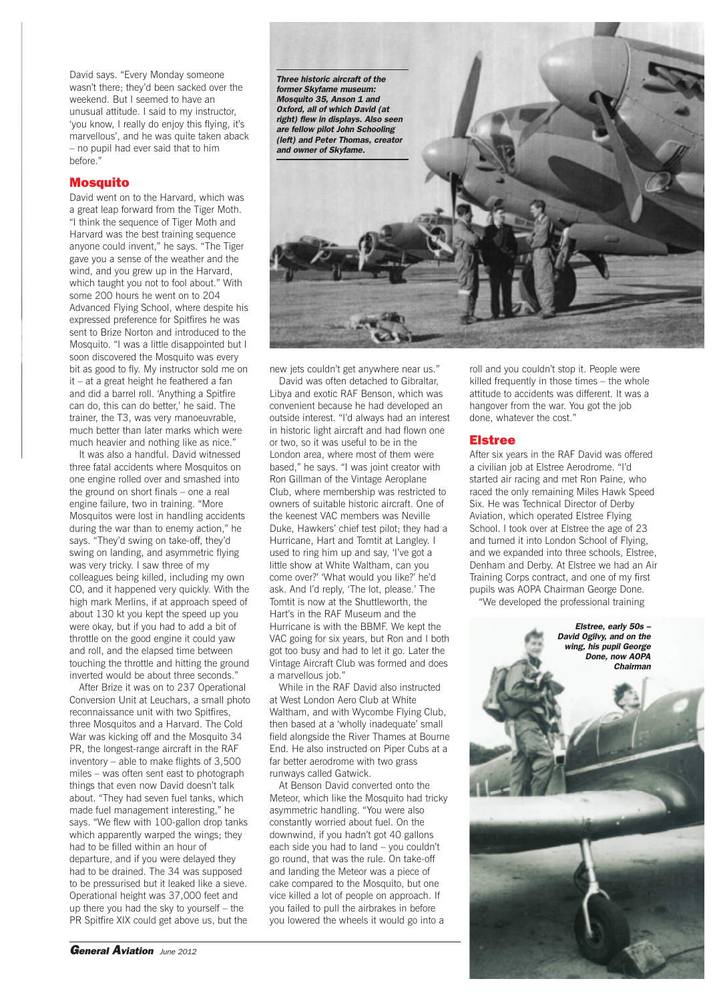David says. "Every Monday someone wasn't there; they'd been sacked over the weekend. But I seemed to have an unusual attitude. I said to my instructor, 'you know, I really do enjoy this flying, it's marvellous', and he was quite taken aback – no pupil had ever said that to him before."

## **Mosquito**

David went on to the Harvard, which was a great leap forward from the Tiger Moth. "I think the sequence of Tiger Moth and Harvard was the best training sequence anyone could invent," he says. "The Tiger gave you a sense of the weather and the wind, and you grew up in the Harvard, which taught you not to fool about." With some 200 hours he went on to 204 Advanced Flying School, where despite his expressed preference for Spitfires he was sent to Brize Norton and introduced to the Mosquito. "I was a little disappointed but I soon discovered the Mosquito was every bit as good to fly. My instructor sold me on it – at a great height he feathered a fan and did a barrel roll. 'Anything a Spitfire can do, this can do better,' he said. The trainer, the T3, was very manoeuvrable, much better than later marks which were much heavier and nothing like as nice."

It was also a handful. David witnessed three fatal accidents where Mosquitos on one engine rolled over and smashed into the ground on short finals – one a real engine failure, two in training. "More Mosquitos were lost in handling accidents during the war than to enemy action," he says. "They'd swing on take-off, they'd swing on landing, and asymmetric flying was very tricky. I saw three of my colleagues being killed, including my own CO, and it happened very quickly. With the high mark Merlins, if at approach speed of about 130 kt you kept the speed up you were okay, but if you had to add a bit of throttle on the good engine it could yaw and roll, and the elapsed time between touching the throttle and hitting the ground inverted would be about three seconds."

After Brize it was on to 237 Operational Conversion Unit at Leuchars, a small photo reconnaissance unit with two Spitfires, three Mosquitos and a Harvard. The Cold War was kicking off and the Mosquito 34 PR, the longest-range aircraft in the RAF inventory – able to make flights of 3,500 miles – was often sent east to photograph things that even now David doesn't talk about. "They had seven fuel tanks, which made fuel management interesting," he says. "We flew with 100-gallon drop tanks which apparently warped the wings; they had to be filled within an hour of departure, and if you were delayed they had to be drained. The 34 was supposed to be pressurised but it leaked like a sieve. Operational height was 37,000 feet and up there you had the sky to yourself – the PR Spitfire XIX could get above us, but the



new jets couldn't get anywhere near us."

David was often detached to Gibraltar, Libya and exotic RAF Benson, which was convenient because he had developed an outside interest. "I'd always had an interest in historic light aircraft and had flown one or two, so it was useful to be in the London area, where most of them were based," he says. "I was joint creator with Ron Gillman of the Vintage Aeroplane Club, where membership was restricted to owners of suitable historic aircraft. One of the keenest VAC members was Neville Duke, Hawkers' chief test pilot; they had a Hurricane, Hart and Tomtit at Langley. I used to ring him up and say, 'I've got a little show at White Waltham, can you come over?' 'What would you like?' he'd ask. And I'd reply, 'The lot, please.' The Tomtit is now at the Shuttleworth, the Hart's in the RAF Museum and the Hurricane is with the BBMF. We kept the VAC going for six years, but Ron and I both got too busy and had to let it go. Later the Vintage Aircraft Club was formed and does a marvellous job."

While in the RAF David also instructed at West London Aero Club at White Waltham, and with Wycombe Flying Club, then based at a 'wholly inadequate' small field alongside the River Thames at Bourne End. He also instructed on Piper Cubs at a far better aerodrome with two grass runways called Gatwick.

At Benson David converted onto the Meteor, which like the Mosquito had tricky asymmetric handling. "You were also constantly worried about fuel. On the downwind, if you hadn't got 40 gallons each side you had to land – you couldn't go round, that was the rule. On take-off and landing the Meteor was a piece of cake compared to the Mosquito, but one vice killed a lot of people on approach. If you failed to pull the airbrakes in before you lowered the wheels it would go into a

roll and you couldn't stop it. People were killed frequently in those times – the whole attitude to accidents was different. It was a hangover from the war. You got the job done, whatever the cost."

## **Elstree**

After six years in the RAF David was offered a civilian job at Elstree Aerodrome. "I'd started air racing and met Ron Paine, who raced the only remaining Miles Hawk Speed Six. He was Technical Director of Derby Aviation, which operated Elstree Flying School. I took over at Elstree the age of 23 and turned it into London School of Flying, and we expanded into three schools, Elstree, Denham and Derby. At Elstree we had an Air Training Corps contract, and one of my first pupils was AOPA Chairman George Done. "We developed the professional training

*Elstree, early 50s – David Ogilvy, and on the wing, his pupil George Done, now AOPA Chairman*